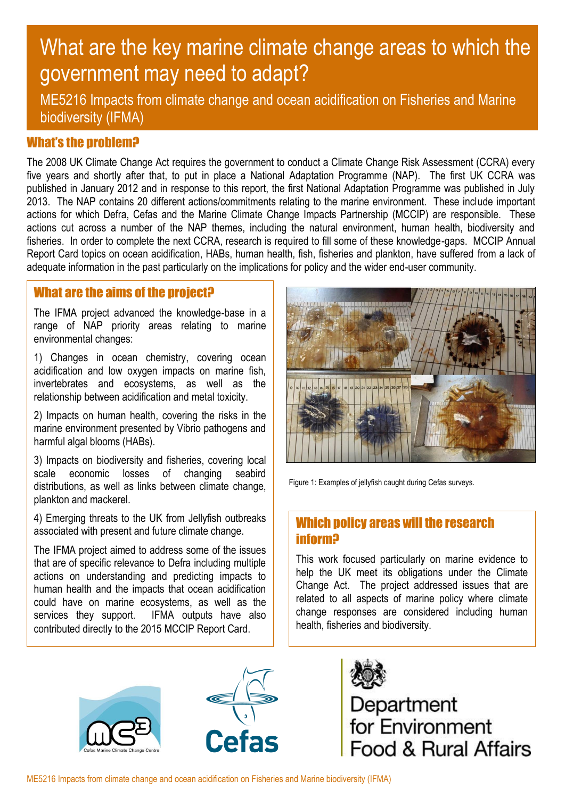# What are the key marine climate change areas to which the government may need to adapt?

ME5216 Impacts from climate change and ocean acidification on Fisheries and Marine biodiversity (IFMA)

## What's the problem?

The 2008 UK Climate Change Act requires the government to conduct a Climate Change Risk Assessment (CCRA) every five years and shortly after that, to put in place a National Adaptation Programme (NAP). The first UK CCRA was published in January 2012 and in response to this report, the first National Adaptation Programme was published in July 2013. The NAP contains 20 different actions/commitments relating to the marine environment. These include important actions for which Defra, Cefas and the Marine Climate Change Impacts Partnership (MCCIP) are responsible. These actions cut across a number of the NAP themes, including the natural environment, human health, biodiversity and fisheries. In order to complete the next CCRA, research is required to fill some of these knowledge-gaps. MCCIP Annual Report Card topics on ocean acidification, HABs, human health, fish, fisheries and plankton, have suffered from a lack of adequate information in the past particularly on the implications for policy and the wider end-user community.

## What are the aims of the project?

The IFMA project advanced the knowledge-base in a range of NAP priority areas relating to marine environmental changes:

1) Changes in ocean chemistry, covering ocean acidification and low oxygen impacts on marine fish, invertebrates and ecosystems, as well as the relationship between acidification and metal toxicity.

2) Impacts on human health, covering the risks in the marine environment presented by Vibrio pathogens and harmful algal blooms (HABs).

3) Impacts on biodiversity and fisheries, covering local scale economic losses of changing seabird distributions, as well as links between climate change, plankton and mackerel.

4) Emerging threats to the UK from Jellyfish outbreaks associated with present and future climate change.

The IFMA project aimed to address some of the issues that are of specific relevance to Defra including multiple actions on understanding and predicting impacts to human health and the impacts that ocean acidification could have on marine ecosystems, as well as the services they support. IFMA outputs have also contributed directly to the 2015 MCCIP Report Card.



Figure 1: Examples of jellyfish caught during Cefas surveys.

#### Which policy areas will the research inform?

This work focused particularly on marine evidence to help the UK meet its obligations under the Climate Change Act. The project addressed issues that are related to all aspects of marine policy where climate change responses are considered including human health, fisheries and biodiversity.







Department<br>for Environment ood & Rural Affairs